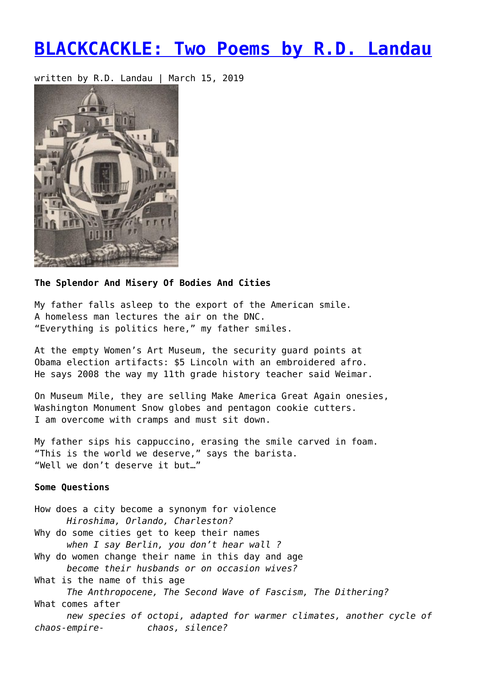## **[BLACKCACKLE: Two Poems by R.D. Landau](https://entropymag.org/blackcackle-two-poems-by-r-d-landau/)**

written by R.D. Landau | March 15, 2019



## **The Splendor And Misery Of Bodies And Cities**

My father falls asleep to the export of the American smile. A homeless man lectures the air on the DNC. "Everything is politics here," my father smiles.

At the empty Women's Art Museum, the security guard points at Obama election artifacts: \$5 Lincoln with an embroidered afro. He says 2008 the way my 11th grade history teacher said Weimar.

On Museum Mile, they are selling Make America Great Again onesies, Washington Monument Snow globes and pentagon cookie cutters. I am overcome with cramps and must sit down.

My father sips his cappuccino, erasing the smile carved in foam. "This is the world we deserve," says the barista. "Well we don't deserve it but…"

## **Some Questions**

How does a city become a synonym for violence *Hiroshima, Orlando, Charleston?* Why do some cities get to keep their names *when I say Berlin, you don't hear wall ?* Why do women change their name in this day and age *become their husbands or on occasion wives?* What is the name of this age *The Anthropocene, The Second Wave of Fascism, The Dithering?* What comes after *new species of octopi, adapted for warmer climates, another cycle of chaos-empire- chaos, silence?*